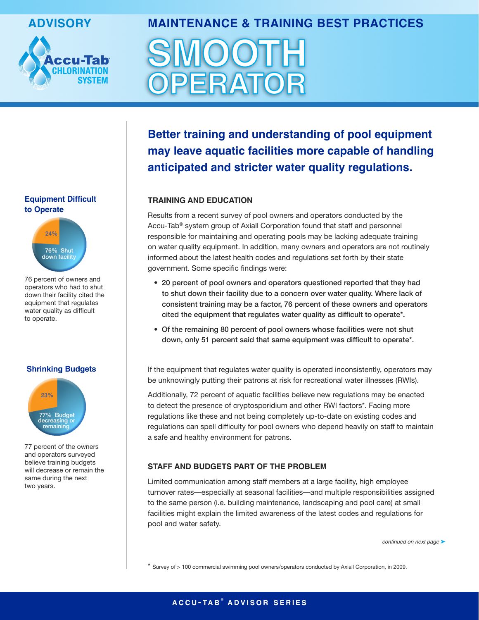

# **advisory Maintenance & training Best Practices**



**Better training and understanding of pool equipment may leave aquatic facilities more capable of handling anticipated and stricter water quality regulations.**

# **training and education**

Results from a recent survey of pool owners and operators conducted by the Accu-Tab® system group of Axiall Corporation found that staff and personnel responsible for maintaining and operating pools may be lacking adequate training on water quality equipment. In addition, many owners and operators are not routinely informed about the latest health codes and regulations set forth by their state government. Some specific findings were:

- 20 percent of pool owners and operators questioned reported that they had to shut down their facility due to a concern over water quality. Where lack of consistent training may be a factor, 76 percent of these owners and operators cited the equipment that regulates water quality as difficult to operate\*.
- Of the remaining 80 percent of pool owners whose facilities were not shut down, only 51 percent said that same equipment was difficult to operate\*.

If the equipment that regulates water quality is operated inconsistently, operators may be unknowingly putting their patrons at risk for recreational water illnesses (RWIs).

Additionally, 72 percent of aquatic facilities believe new regulations may be enacted to detect the presence of cryptosporidium and other RWI factors\*. Facing more regulations like these and not being completely up-to-date on existing codes and regulations can spell difficulty for pool owners who depend heavily on staff to maintain a safe and healthy environment for patrons.

# **staFF and Budgets Part oF tHe ProBLeM**

Limited communication among staff members at a large facility, high employee turnover rates—especially at seasonal facilities—and multiple responsibilities assigned to the same person (i.e. building maintenance, landscaping and pool care) at small facilities might explain the limited awareness of the latest codes and regulations for pool and water safety.

continued on next page >

\* Survey of > 100 commercial swimming pool owners/operators conducted by Axiall Corporation, in 2009.

### **equipment difficult to operate**



76 percent of owners and operators who had to shut down their facility cited the equipment that regulates water quality as difficult to operate.

### **shrinking Budgets**



77 percent of the owners and operators surveyed believe training budgets will decrease or remain the same during the next two years.

# **a c c u - ta B ® a d v i s o r s e r i e s**